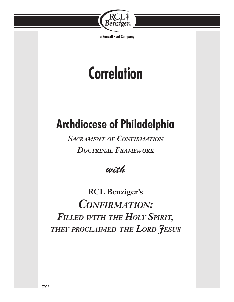

a Kendall Hunt Company

# **Correlation**

## **Archdiocese of Philadelphia**

*Sacrament of Confirmation Doctrinal Framework*

*with*

**RCL Benziger's** *Confirmation: Filled with the Holy Spirit, they proclaimed the Lord Jesus*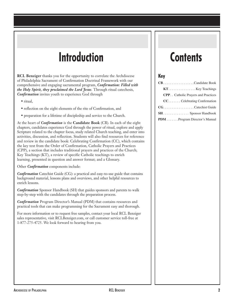## **Introduction**

**RCL Benziger** thanks you for the opportunity to correlate the Archdiocese of Philadelphia Sacrament of Confirmation Doctrinal Framework with our comprehensive and engaging sacramental program, *Confirmation: Filled with the Holy Spirit, they proclaimed the Lord Jesus*. Through ritual catechesis, *Confirmation* invites youth to experience God through

- ritual,
- reflection on the eight elements of the rite of Confirmation, and
- preparation for a lifetime of discipleship and service to the Church.

At the heart of *Confirmation* is the **Candidate Book** (CB). In each of the eight chapters, candidates experience God through the power of ritual, explore and apply Scripture related to the chapter focus, study related Church teaching, and enter into activities, discussion, and reflection. Students will also find resources for reference and review in the candidate book: Celebrating Confirmation (CC), which contains the key text from the Order of Confirmation, Catholic Prayers and Practices (CPP), a section that includes traditional prayers and practices of the Church; Key Teachings (KT), a review of specific Catholic teachings to enrich learning, presented in question and answer format; and a Glossary.

Other *Confirmation* components include:

*Confirmation* Catechist Guide (CG): a practical and easy-to-use guide that contains background material, lessons plans and overviews, and other helpful resources to enrich lessons.

*Confirmation* Sponsor Handbook (SH) that guides sponsors and parents to walk step-by-step with the candidates through the preparation process.

*Confirmation* Program Director's Manual (PDM) that contains resources and practical tools that can make programming for the Sacrament easy and thorough.

For more information or to request free samples, contact your local RCL Benziger sales representative, visit RCLBenziger.com, or call customer service toll-free at 1-877-275-4725. We look forward to hearing from you.

### **Contents**

#### **Key**

| <b>CPP.</b> Catholic Prayers and Practices |
|--------------------------------------------|
| $CC$ Celebrating Confirmation              |
|                                            |
| SH Sponsor Handbook                        |
| <b>PDM</b> Program Director's Manual       |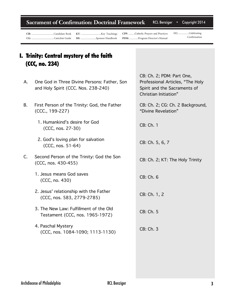#### $\bf{S}$ acrament of Confirmation: Doctrinal Framework RCL Benziger • Copyright 2014

**CB:** \$BOEJEBUF#PPL **\$(**\$BUFDIJTU(VJEF

**,5** ,FZ 5FBDIJOHT  $SH:$  ...........................Sponsor Handbook

CPP: ..........Catholic Prayers and Practices PDM: ..............Program Director's Manual

 $\mathbf{CC:}$ ..................Celebrating Confirmation

|    | I. Trinity: Central mystery of the faith<br>(CCC, no. 234)                          |                                                                                                                        |
|----|-------------------------------------------------------------------------------------|------------------------------------------------------------------------------------------------------------------------|
| А. | One God in Three Divine Persons: Father, Son<br>and Holy Spirit (CCC. Nos. 238-240) | CB: Ch. 2; PDM: Part One,<br>Professional Articles, "The Holy<br>Spirit and the Sacraments of<br>Christian Initiation" |
| B. | First Person of the Trinity: God, the Father<br>$(CCC., 199-227)$                   | CB: Ch. 2; CG: Ch. 2 Background,<br>"Divine Revelation"                                                                |
|    | 1. Humankind's desire for God<br>(CCC, nos. 27-30)                                  | CB: Ch. 1                                                                                                              |
|    | 2. God's loving plan for salvation<br>(CCC, nos. 51-64)                             | CB: Ch. 5, 6, 7                                                                                                        |
| C. | Second Person of the Trinity: God the Son<br>(CCC, nos. 430-455)                    | CB: Ch. 2; KT: The Holy Trinity                                                                                        |
|    | 1. Jesus means God saves<br>(CCC, no. 430)                                          | CB: Ch. 6                                                                                                              |
|    | 2. Jesus' relationship with the Father<br>(CCC, nos. 583, 2779-2785)                | CB: Ch. 1, 2                                                                                                           |
|    | 3. The New Law: Fulfillment of the Old<br>Testament (CCC, nos. 1965-1972)           | CB: Ch. 5                                                                                                              |
|    | 4. Paschal Mystery<br>(CCC, nos. 1084-1090; 1113-1130)                              | CB: Ch. 3                                                                                                              |
|    |                                                                                     |                                                                                                                        |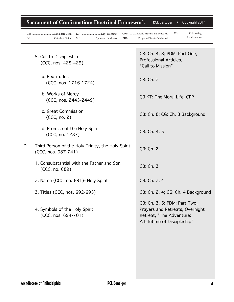|    | SH: Sponsor Handbook                                                     | CC: Celebrating<br>CPP: Catholic Prayers and Practices<br>Confirmation<br>PDM: Program Director's Manual                   |
|----|--------------------------------------------------------------------------|----------------------------------------------------------------------------------------------------------------------------|
|    | 5. Call to Discipleship<br>(CCC, nos. 425-429)                           | CB: Ch. 4, 8; PDM: Part One,<br>Professional Articles,<br>"Call to Mission"                                                |
|    | a. Beatitudes<br>(CCC, nos. 1716-1724)                                   | CB: Ch. 7                                                                                                                  |
|    | b. Works of Mercy<br>(CCC, nos. 2443-2449)                               | CB KT: The Moral Life; CPP                                                                                                 |
|    | c. Great Commission<br>(CCC, no. 2)                                      | CB: Ch. 8; CG: Ch. 8 Background                                                                                            |
|    | d. Promise of the Holy Spirit<br>(CCC, no. 1287)                         | CB: Ch. 4, 5                                                                                                               |
| D. | Third Person of the Holy Trinity, the Holy Spirit<br>(CCC, nos. 687-741) | CB: Ch. 2                                                                                                                  |
|    | 1. Consubstantial with the Father and Son<br>(CCC, no. 689)              | CB: Ch. 3                                                                                                                  |
|    | 2. Name (CCC, no. 691) - Holy Spirit                                     | CB: Ch. 2, 4                                                                                                               |
|    | 3. Titles (CCC, nos. 692-693)                                            | CB: Ch. 2, 4; CG: Ch. 4 Background                                                                                         |
|    | 4. Symbols of the Holy Spirit<br>(CCC, nos. 694-701)                     | CB: Ch. 3, 5; PDM: Part Two,<br>Prayers and Retreats, Overnight<br>Retreat, "The Adventure:<br>A Lifetime of Discipleship" |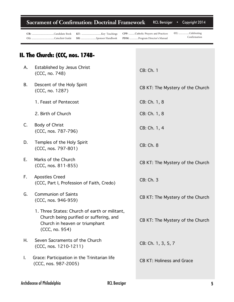|    | SH: Sponsor Handbook                                                                                                                         | CC: Celebrating<br>CPP: Catholic Prayers and Practices<br>Confirmation<br>PDM: Program Director's Manual |
|----|----------------------------------------------------------------------------------------------------------------------------------------------|----------------------------------------------------------------------------------------------------------|
|    | II. The Church: (CCC, nos. 1748-                                                                                                             |                                                                                                          |
| Α. | Established by Jesus Christ<br>(CCC, no. 748)                                                                                                | CB: Ch. 1                                                                                                |
| В. | Descent of the Holy Spirit<br>(CCC, no. 1287)                                                                                                | CB KT: The Mystery of the Church                                                                         |
|    | 1. Feast of Pentecost                                                                                                                        | CB: Ch. 1, 8                                                                                             |
|    | 2. Birth of Church                                                                                                                           | CB: Ch. 1, 8                                                                                             |
| C. | Body of Christ<br>(CCC, nos. 787-796)                                                                                                        | CB: Ch. 1, 4                                                                                             |
| D. | Temples of the Holy Spirit<br>(CCC, nos. 797-801)                                                                                            | CB: Ch. 8                                                                                                |
| Ε. | Marks of the Church<br>(CCC, nos. 811-855)                                                                                                   | CB KT: The Mystery of the Church                                                                         |
| F. | <b>Apostles Creed</b><br>(CCC, Part I, Profession of Faith, Credo)                                                                           | CB: Ch. 3                                                                                                |
| G. | <b>Communion of Saints</b><br>(CCC, nos. 946-959)                                                                                            | CB KT: The Mystery of the Church                                                                         |
|    | 1. Three States: Church of earth or militant,<br>Church being purified or suffering, and<br>Church in heaven or triumphant<br>(CCC, no. 954) | CB KT: The Mystery of the Church                                                                         |
| Η. | Seven Sacraments of the Church<br>$(CCC, nos. 1210-1211)$                                                                                    | CB: Ch. 1, 3, 5, 7                                                                                       |
| I. | Grace: Participation in the Trinitarian life<br>(CCC, nos. 987-2005)                                                                         | <b>CB KT: Holiness and Grace</b>                                                                         |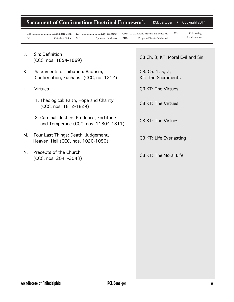N. Precepts of the Church and how are made in His image and how are made in His image and how are made in His in His image and how are made in His image and how are made in His image and how are made in His image and how a N. Precepts of the Church<br>(CCC, nos. 2041-2043)

2. Cardinal: Justice, Prudence, Fortitude and Temperace (CCC, nos. 11804-1811) CB KT: The Virtues

Confirmation, Eucharist (CCC, no. 1212)

- M. Four Last Things: Death, Judgement, Contraction Contraction Work of Creation Contraction
- 
- -
	-
	-
	- M. Four Last Things: Death, Judgement,<br>Heaven, Hell (CCC, nos. 1020-1050) CB KT: Life Everlasting
	-

**CB:** \$BOEJEBUF#PPL **\$(**\$BUFDIJTU(VJEF

Sin: Definition

J. Sin: Definition<br>(CCC, nos. 1854-1869)

K. Sacraments of Initiation: Baptism,

CB Ch. 3; KT: Moral Evil and Sin

 $CC:$  .................Celebrating

Confirmation

CB: Ch. 1, 5, 7; KT: The Sacraments

CPP: ..........Catholic Prayers and Practices PDM: .............Program Director's Manual

- *and reflect on our Catholic faith, which is the content of*  L. Virtues CB KT: The Virtues
- *Tradition and lived out in the Creed and Church doctrine.* 1. Theological: Faith, Hope and Charity The Virtues<br>(CCC, nos. 1812-1829) CB KT: The Virtues
	-
	-
	- CB KT: The Moral Life.

 $\bf{S}$  acrament of Confirmation: Doctrinal Framework RCL Benziger • Copyright 2014

**,5** ,FZ 5FBDIJOHT **5H:** ...........................Sponsor Handbook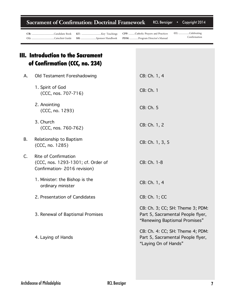|    | SH: Sponsor Handbook                                                                             | CPP: Catholic Prayers and Practices<br>PDM: Program Director's Manual | CC: Celebrating<br>Confirmation                                                                        |
|----|--------------------------------------------------------------------------------------------------|-----------------------------------------------------------------------|--------------------------------------------------------------------------------------------------------|
|    | III. Introduction to the Sacrament<br>of Confirmation (CCC, no. 234)                             |                                                                       |                                                                                                        |
| А. | Old Testament Foreshadowing                                                                      | CB: Ch. 1, 4                                                          |                                                                                                        |
|    | 1. Spirit of God<br>(CCC, nos. 707-716)                                                          | CB: Ch. 1                                                             |                                                                                                        |
|    | 2. Anointing<br>(CCC, no. 1293)                                                                  | CB: Ch. 5                                                             |                                                                                                        |
|    | 3. Church<br>(CCC, nos. 760-762)                                                                 | CB: Ch. 1, 2                                                          |                                                                                                        |
| В. | Relationship to Baptism<br>(CCC, no. 1285)                                                       | CB: Ch. 1, 3, 5                                                       |                                                                                                        |
| C. | <b>Rite of Confirmation</b><br>(CCC, nos. 1293-1301; cf. Order of<br>Confirmation-2016 revision) | CB: Ch. 1-8                                                           |                                                                                                        |
|    | 1. Minister: the Bishop is the<br>ordinary minister                                              | CB: Ch. 1, 4                                                          |                                                                                                        |
|    | 2. Presentation of Candidates                                                                    | CB: Ch. 1; CC                                                         |                                                                                                        |
|    | 3. Renewal of Baptismal Promises                                                                 |                                                                       | CB: Ch. 3; CC; SH: Theme 3; PDM:<br>Part 5, Sacramental People flyer,<br>"Renewing Baptismal Promises" |
|    | 4. Laying of Hands                                                                               | "Laying On of Hands"                                                  | CB: Ch. 4: CC; SH: Theme 4; PDM:<br>Part 5, Sacramental People flyer,                                  |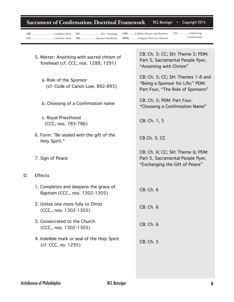|    | SH: Sponsor Handbook                                                              | CC: Celebrating<br>CPP: Catholic Prayers and Practices<br>Confirmation<br>PDM: Program Director's Manual   |
|----|-----------------------------------------------------------------------------------|------------------------------------------------------------------------------------------------------------|
|    | 5. Matter: Anointing with sacred chrism of<br>forehead (cf. CCC, nos. 1289, 1291) | CB: Ch. 5: CC; SH: Theme 5; PDM:<br>Part 5, Sacramental People flyer,<br>"Anointing with Chrism"           |
|    | a. Role of the Sponsor<br>(cf. Code of Canon Law, 892-893)                        | CB: Ch. 5; CC; SH: Themes 1-8 and<br>"Being a Sponsor for Life;" PDM:<br>Part Four, "The Role of Sponsors" |
|    | b. Choosing of a Confirmation name                                                | CB: Ch. 5; PDM: Part Four,<br>"Choosing a Confirmation Name"                                               |
|    | c. Royal Priesthood<br>(CCC, nos. 783-786)                                        | CB: Ch. 1, 5                                                                                               |
|    | 6. Form: "Be sealed with the gift of the<br>Holy Spirit."                         | CB Ch. 5; CC                                                                                               |
|    | 7. Sign of Peace                                                                  | CB: Ch. 6; CC; SH: Theme 6; PDM:<br>Part 5, Sacramental People flyer,<br>"Exchanging the Gift of Peace"    |
| D. | <b>Effects</b>                                                                    |                                                                                                            |
|    | 1. Completes and deepens the grace of<br>Baptism (CCC., nos. 1302-1305)           | CB: Ch. 6                                                                                                  |
|    | 2. Unites one more fully to Christ<br>(CCC., nos. 1302-1305)                      | CB: Ch. 6                                                                                                  |
|    | 3. Consecrated to the Church<br>$(CCC., nos. 1302-1305)$                          | CB: Ch. 6                                                                                                  |
|    | 4. Indelible mark or seal of the Holy Spirit<br>(cf. CCC, no. 1295)               | CB: Ch. 5                                                                                                  |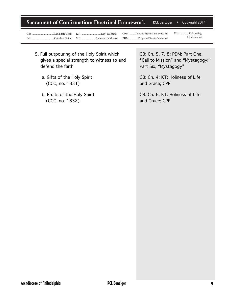**,5** ,FZ 5FBDIJOHT **5H:** ...........................Sponsor Handbook

 $\bf{S}$  acrament of Confirmation: Doctrinal Framework RCL Benziger • Copyright 2014

CPP: ..........Catholic Prayers and Practices PDM: .............Program Director's Manual

- 5. Full outpouring of the Holy Spirit which<br>Church and the Church the Chinage to a gives a special strength to witness to and defend the faith
- **KNOWLEDGE OF THE FAITH:** *Students will explore, profess*  (CCC, no. 1831) a. Gifts of the Holy Spirit

**CB:** \$BOEJEBUF#PPL **\$(**\$BUFDIJTU(VJEF

*God's revelation found in Sacred Scripture and Sacred*  b. Fruits of the Holy Spirit *Tradition and lived out in the Creed and Church doctrine.* (CCC, no. 1832)

CB: Ch. 5, 7, 8; PDM: Part One, "Call to Mission" and "Mystagogy;" Part Six, "Mystagogy"

CC: ................Celebrating

Confirmation

CB: Ch. 4; KT: Holiness of Life and Grace; CPP

CB: Ch. 6: KT: Holiness of Life and Grace; CPP